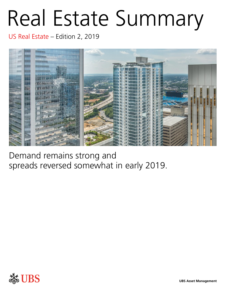# Real Estate Summary

US Real Estate – Edition 2, 2019



Demand remains strong and spreads reversed somewhat in early 2019.

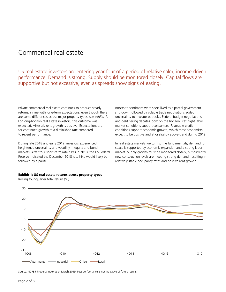## Commerical real estate

US real estate investors are entering year four of a period of relative calm, income-driven performance. Demand is strong. Supply should be monitored closely. Capital flows are supportive but not excessive, even as spreads show signs of easing.

Private commercial real estate continues to produce steady returns, in line with long-term expectations, even though there are some differences across major property types, see *exhibit 1*. For long-horizon real estate investors, this outcome was expected. After all, rent growth is positive. Expectations are for continued growth at a diminished rate compared to recent performance.

During late 2018 and early 2019, investors experienced heightened uncertainty and volatility in equity and bond markets. After four short-term rate hikes in 2018, the US Federal Reserve indicated the December 2018 rate hike would likely be followed by a pause.

Boosts to sentiment were short lived as a partial government shutdown followed by volatile trade negotiations added uncertainty to investor outlooks. Federal budget negotiations and debt ceiling debates loom on the horizon. Yet, tight labor market conditions support consumers. Favorable credit conditions support economic growth, which most economists expect to be positive and at or slightly above-trend during 2019.

In real estate markets we turn to the fundamentals; demand for space is supported by economic expansion and a strong labor market. Supply growth must be monitored closely, but currently, new construction levels are meeting strong demand, resulting in relatively stable occupancy rates and positive rent growth.



**Exhibit 1: US real estate returns across property types** Rolling four-quarter total return (%)

Source: NCREIF Property Index as of March 2019. Past performance is not indicative of future results.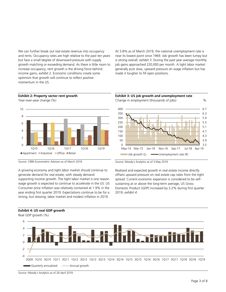We can further break out real estate revenue into occupancy and rents. Occupancy rates are high relative to the past ten years but face a small degree of downward pressure with supply growth matching or exceeding demand. As there is little room to increase occupancy, rent growth is the driving force behind income gains, *exhibit 2*. Economic conditions create some optimism that growth will continue to reflect positive momentum in the US.

At 3.8% as of March 2019, the national unemployment rate is near its lowest point since 1969. Job growth has been lumpy but is strong overall, *exhibit 3*. During the past year average monthly job gains approached 220,000 per month. A tight labor market generally puts slow, upward pressure on wage inflation but has made it tougher to fill open positions.



**Exhibit 2: Property sector rent growth**

A growing economy and tight labor market should continue to generate demand for real estate, with steady demand

supporting income growth. The tight labor market is one reason wage growth is expected to continue to accelerate in the US. US Consumer price inflation was relatively contained at 1.9% in the year ending first quarter 2019. Expectations continue to be for a strong, but slowing, labor market and modest inflation in 2019.



Source: Moody's Analytics as of 3 May 2019.

Realized and expected growth in real estate income directly offsets upward pressure on real estate cap rates from the tight spread. Current economic expansion is considered to be selfsustaining at or above the long-term average, US Gross Domestic Product (GDP) increased by 3.2% during first quarter 2019, *exhibit 4*.



Source: Moody's Analytics as of 26 April 2019.

Source: CBRE-Econometric Advisors as of March 2019.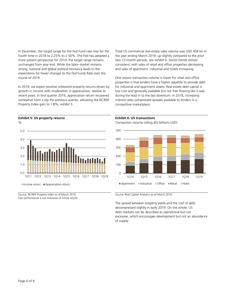In December, the target range for the Fed Fund rate rose for the fourth time in 2018 to 2.25% to 2.50%. The Fed has adopted a more patient perspective for 2019; the target range remains unchanged from year end. While the labor market remains strong, national and global political hesitancy leads to the expectation for fewer changes to the Fed Funds Rate over the course of 2019.

In 2019, we expect positive unlevered property returns driven by growth in income with moderation in appreciation, relative to recent years. In first quarter 2019, appreciation return recovered somewhat from a dip the previous quarter, elevating the NCREIF Property Index gain to 1.8%, *exhibit 5.*

Total US commercial real estate sales volume was USD 458 bn in the year ending March 2019; up slightly compared to the prior two 12-month periods, see *exhibit 6*. Sector trends remain consistent, with sales of retail and office properties decreasing and sales of apartment, industrial and hotels increasing.

One reason transaction volume is lower for retail and office properties is that lenders have a higher appetite to provide debt for industrial and apartment assets. Real estate debt capital is low cost and generally available but not free flowing like it was during the lead in to the last downturn. In 2018, increasing interest rates compressed spreads available to lenders in a competitive marketplace.

## $\%$  $0.0$ 1.0 2.0 3.0 4.0 5.0 1Q11 1Q12 1Q13 1Q14 1Q15 1Q16 1Q17 1Q18 1Q19  $\blacksquare$  Income return  $\blacksquare$  Appreciation return

Source: NCREIF Property Index as of March 2019. Past performance is not indicative of future results.

#### **Exhibit 6: US transactions**

Transaction volume rolling 4Q (billions USD)



Source: Real Capital Analytics as of March 2019.

The spread between property yields and the cost of debt decompressed slightly in early 2019. On the whole, US debt markets can be described as operational but not excessive, which encourages development but not an abundance of supply.

### **Exhibit 5: US property returns**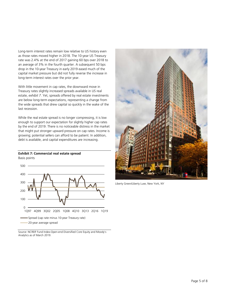Long-term interest rates remain low relative to US history even as those rates moved higher in 2018. The 10-year US Treasury rate was 2.4% at the end of 2017 gaining 60 bps over 2018 to an average of 3% in the fourth quarter. A subsequent 50 bps drop in the 10-year Treasury in early 2019 eased much of the capital market pressure but did not fully reverse the increase in long-term interest rates over the prior year.

With little movement in cap rates, the downward move in Treasury rates slightly increased spreads available in US real estate, *exhibit 7*. Yet, spreads offered by real estate investments are below long-term expectations, representing a change from the wide spreads that drew capital so quickly in the wake of the last recession.

While the real estate spread is no longer compressing, it is low enough to support our expectation for slightly higher cap rates by the end of 2019. There is no noticeable distress in the market that might put stronger upward pressure on cap rates. Income is growing; potential sellers can afford to be patient. In addition, debt is available, and capital expenditures are increasing.

#### **Exhibit 7: Commercial real estate spread** Basis points



Source: NCREIF Fund Index-Open-end Diversified Core Equity and Moody's Analytics as of March 2019.



Liberty Green/Liberty Luxe, New York, NY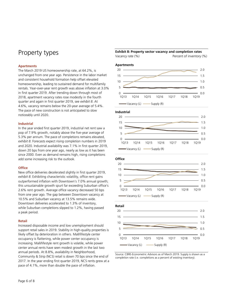# Property types

#### **Apartments**

The March 2019 US homeownership rate, at 64.2%, is unchanged from one year ago. Persistence in the labor market and consistent household formation help offset elevated homeownership, leading to sustained demand for multifamily rentals. Year-over-year rent growth was above inflation at 3.0% in first quarter 2019. After trending down through most of 2018, apartment vacancy rates rose modestly in the fourth quarter and again in first quarter 2019, see *exhibit 8*. At 4.6%, vacancy remains below the 20-year average of 5.4%. The pace of new construction is not anticipated to slow noticeably until 2020.

#### **Industrial**

In the year ended first quarter 2019, industrial net rent saw a pop of 7.9% growth, notably above the five-year average of 5.3% per annum. The pace of completions remains elevated, *exhibit 8*. Forecasts expect rising completion numbers in 2019 and 2020. Industrial availability was 7.1% in first quarter 2019, down 20 bps from one year ago, nearly as low as it has been since 2000. Even as demand remains high, rising completions add some increasing risk to the outlook.

#### **Office**

New office deliveries decelerated slightly in first quarter 2019, *exhibit 8*. Exhibiting characteristic volatility, office rent gains outperformed inflation with Downtown's 7.0% annual growth; this unsustainable growth spurt far exceeding Suburban office's 2.6% rent growth. Average office vacancy decreased 50 bps from one year ago. The gap between Downtown vacancy at 10.5% and Suburban vacancy at 13.5% remains wide. Downtown deliveries accelerated to 1.3% of inventory, while Suburban completions slipped to 1.2%, having passed a peak period.

#### **Retail**

Increased disposable income and low unemployment should support retail sales in 2019. Stability in high-quality properties is likely offset by deterioration in others. Mall/lifestyle center occupancy is flattening, while power center occupancy is increasing. Mall/lifestyle rent growth is volatile, while power center annual rents have seen modest growth in the last two annual periods. At 8.8%, availability in Neighborhood, Community & Strip (NCS) retail is down 70 bps since the end of 2017. In the year ending first quarter 2019, NCS rents grew at a pace of 4.1%, more than double the pace of inflation.

#### **Exhibit 8: Property sector vacancy and completion rates** Vacancy rate  $(\%)$  Percent of inventory  $(\%)$









Source: CBRE-Econometric Advisors as of March 2019. Supply is shown as a completion rate (i.e. completions as a percent of existing inventory).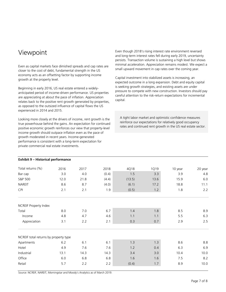# Viewpoint

Even as capital markets face dimished spreads and cap rates are closer to the cost of debt, fundamental strength in the US economy acts as an offsetting factor by supporting income growth at the property level.

Beginning in early 2016, US real estate entered a widelyanticipated period of income-driven performance. US properties are appreciating at about the pace of inflation. Appreciation relates back to the positive rent growth generated by properties, as opposed to the outsized influence of capital flows the US experienced in 2014 and 2015.

Looking more closely at the drivers of income, rent growth is the true powerhouse behind the gains. An expectation for continued positive economic growth reinforces our view that property-level income growth should outpace inflation even as the pace of growth moderated in recent years. Income-generated performance is consistent with a long-term expectation for private commercial real estate investments.

Even though 2018's rising interest rate environment reversed and long-term interest rates fell during early 2019, uncertainty persists. Transaction volume is sustaining a high level but shows minimal acceleration. Appreciation remains modest. We expect a small upward movement in cap rates over the coming year.

Capital investment into stabilized assets is increasing, an expected outcome in a long expansion. Debt and equity capital is seeking growth strategies, and existing assets are under pressure to compete with new construction. Investors should pay careful attention to the risk-return expectations for incremental capital.

 A tight labor market and optimistic confidence measures reinforce our expectations for relatively good occupancy rates and continued rent growth in the US real estate sector.

| Total returns (%)                     | 2016  | 2017 | 2018  | 4Q18   | 1Q19 | 10 year | 20 year |
|---------------------------------------|-------|------|-------|--------|------|---------|---------|
| Bar cap                               | 3.0   | 4.0  | (0.4) | 1.5    | 3.3  | 3.9     | 4.8     |
| S&P 500                               | 12.0  | 21.8 | (4.4) | (13.5) | 13.6 | 15.9    | $6.0$   |
| <b>NAREIT</b>                         | 8.6   | 8.7  | (4.0) | (6.1)  | 17.2 | 18.8    | 11.1    |
| CPI                                   | 2.1   | 2.1  | 1.9   | (0.5)  | 1.2  | 1.8     | 2.2     |
| <b>NCREIF Property Index</b>          |       |      |       |        |      |         |         |
| Total                                 | 8.0   | 7.0  | 6.7   | 1.4    | 1.8  | 8.5     | 8.9     |
| Income                                | 4.8   | 4.7  | 4.6   | 1.1    | 1.1  | 5.5     | 6.3     |
| Appreciation                          | 3.1   | 2.2  | 2.1   | 0.3    | 0.7  | 2.9     | 2.5     |
| NCREIF total returns by property type |       |      |       |        |      |         |         |
| Apartments                            | $6.2$ | 6.1  | 6.1   | 1.3    | 1.3  | 8.6     | 8.8     |
| Hotel                                 | 4.9   | 7.6  | 7.6   | 1.2    | 0.4  | 6.3     | 6.9     |
| Industrial                            | 13.1  | 14.3 | 14.3  | 3.4    | 3.0  | 10.4    | 10.0    |
| Office                                | 6.0   | 6.8  | 6.8   | 1.6    | 1.6  | 7.5     | 8.2     |
| Retail                                | 5.7   | 2.2  | 2.2   | (0.4)  | 1.7  | 8.9     | 10.0    |

**Exhibit 9 – Historical performance**

Source: NCREIF, NAREIT, Morningstar and Moody's Analytics as of March 2019.